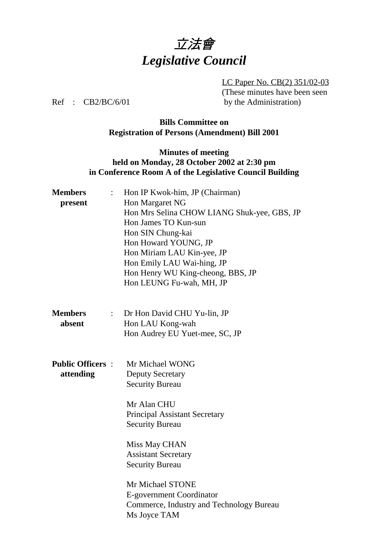

LC Paper No. CB(2) 351/02-03 (These minutes have been seen Ref : CB2/BC/6/01 by the Administration)

## **Bills Committee on Registration of Persons (Amendment) Bill 2001**

### **Minutes of meeting held on Monday, 28 October 2002 at 2:30 pm in Conference Room A of the Legislative Council Building**

| <b>Members</b><br>$\ddot{\cdot}$            | Hon IP Kwok-him, JP (Chairman)                                       |
|---------------------------------------------|----------------------------------------------------------------------|
| present                                     | Hon Margaret NG                                                      |
|                                             | Hon Mrs Selina CHOW LIANG Shuk-yee, GBS, JP                          |
|                                             | Hon James TO Kun-sun                                                 |
|                                             | Hon SIN Chung-kai                                                    |
|                                             | Hon Howard YOUNG, JP                                                 |
|                                             | Hon Miriam LAU Kin-yee, JP                                           |
|                                             | Hon Emily LAU Wai-hing, JP                                           |
|                                             | Hon Henry WU King-cheong, BBS, JP                                    |
|                                             | Hon LEUNG Fu-wah, MH, JP                                             |
| <b>Members</b><br>$\mathbb{Z}^{\mathbb{Z}}$ | Dr Hon David CHU Yu-lin, JP                                          |
| absent                                      | Hon LAU Kong-wah                                                     |
|                                             | Hon Audrey EU Yuet-mee, SC, JP                                       |
| <b>Public Officers:</b>                     | Mr Michael WONG                                                      |
| attending                                   | <b>Deputy Secretary</b>                                              |
|                                             | <b>Security Bureau</b>                                               |
|                                             | Mr Alan CHU                                                          |
|                                             | <b>Principal Assistant Secretary</b>                                 |
|                                             | <b>Security Bureau</b>                                               |
|                                             | Miss May CHAN                                                        |
|                                             | <b>Assistant Secretary</b>                                           |
|                                             | <b>Security Bureau</b>                                               |
|                                             |                                                                      |
|                                             | Mr Michael STONE                                                     |
|                                             | E-government Coordinator<br>Commerce, Industry and Technology Bureau |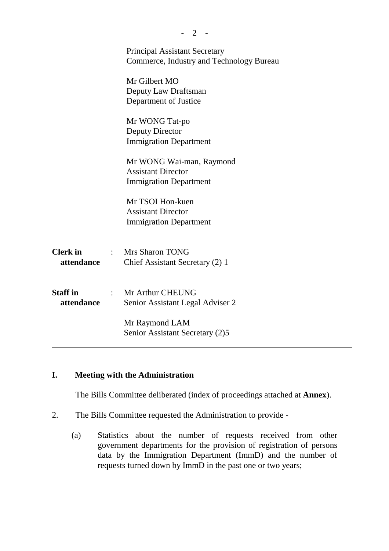|                 | <b>Principal Assistant Secretary</b>     |
|-----------------|------------------------------------------|
|                 | Commerce, Industry and Technology Bureau |
|                 | Mr Gilbert MO                            |
|                 | Deputy Law Draftsman                     |
|                 | Department of Justice                    |
|                 |                                          |
|                 | Mr WONG Tat-po                           |
|                 | Deputy Director                          |
|                 | <b>Immigration Department</b>            |
|                 |                                          |
|                 | Mr WONG Wai-man, Raymond                 |
|                 | <b>Assistant Director</b>                |
|                 | <b>Immigration Department</b>            |
|                 |                                          |
|                 | Mr TSOI Hon-kuen                         |
|                 | <b>Assistant Director</b>                |
|                 | <b>Immigration Department</b>            |
|                 |                                          |
|                 |                                          |
| <b>Clerk</b> in | Mrs Sharon TONG                          |
| attendance      | Chief Assistant Secretary (2) 1          |
|                 |                                          |
|                 |                                          |
| <b>Staff</b> in | : Mr Arthur CHEUNG                       |
| attendance      | Senior Assistant Legal Adviser 2         |
|                 |                                          |
|                 | Mr Raymond LAM                           |
|                 | Senior Assistant Secretary (2)5          |
|                 |                                          |

 $-2 -$ 

### **I. Meeting with the Administration**

The Bills Committee deliberated (index of proceedings attached at **Annex**).

- 2. The Bills Committee requested the Administration to provide
	- (a) Statistics about the number of requests received from other government departments for the provision of registration of persons data by the Immigration Department (ImmD) and the number of requests turned down by ImmD in the past one or two years;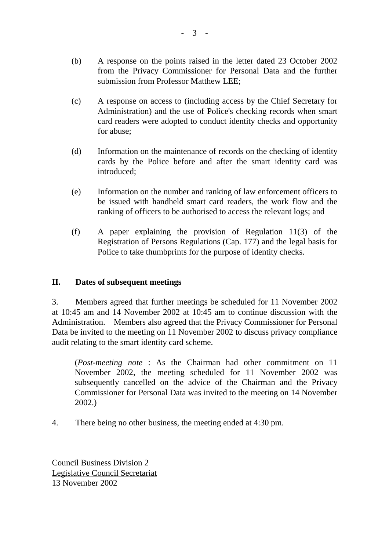- (c) A response on access to (including access by the Chief Secretary for Administration) and the use of Police's checking records when smart card readers were adopted to conduct identity checks and opportunity for abuse;
- (d) Information on the maintenance of records on the checking of identity cards by the Police before and after the smart identity card was introduced;
- (e) Information on the number and ranking of law enforcement officers to be issued with handheld smart card readers, the work flow and the ranking of officers to be authorised to access the relevant logs; and
- (f) A paper explaining the provision of Regulation 11(3) of the Registration of Persons Regulations (Cap. 177) and the legal basis for Police to take thumbprints for the purpose of identity checks.

## **II. Dates of subsequent meetings**

3. Members agreed that further meetings be scheduled for 11 November 2002 at 10:45 am and 14 November 2002 at 10:45 am to continue discussion with the Administration. Members also agreed that the Privacy Commissioner for Personal Data be invited to the meeting on 11 November 2002 to discuss privacy compliance audit relating to the smart identity card scheme.

(*Post-meeting note* : As the Chairman had other commitment on 11 November 2002, the meeting scheduled for 11 November 2002 was subsequently cancelled on the advice of the Chairman and the Privacy Commissioner for Personal Data was invited to the meeting on 14 November 2002.)

4. There being no other business, the meeting ended at 4:30 pm.

Council Business Division 2 Legislative Council Secretariat 13 November 2002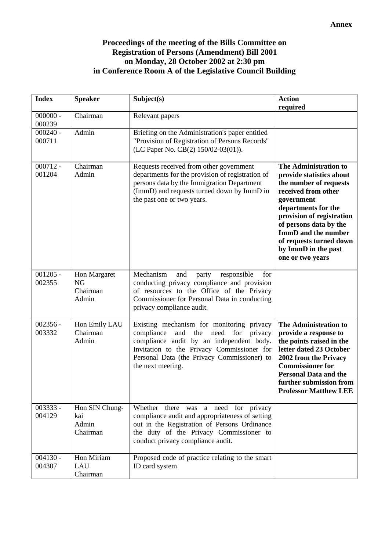#### **Proceedings of the meeting of the Bills Committee on Registration of Persons (Amendment) Bill 2001 on Monday, 28 October 2002 at 2:30 pm in Conference Room A of the Legislative Council Building**

| <b>Index</b>         | <b>Speaker</b>                                 | Subject(s)                                                                                                                                                                                                                                                    | <b>Action</b><br>required                                                                                                                                                                                                                                                                   |
|----------------------|------------------------------------------------|---------------------------------------------------------------------------------------------------------------------------------------------------------------------------------------------------------------------------------------------------------------|---------------------------------------------------------------------------------------------------------------------------------------------------------------------------------------------------------------------------------------------------------------------------------------------|
| $000000 -$<br>000239 | Chairman                                       | Relevant papers                                                                                                                                                                                                                                               |                                                                                                                                                                                                                                                                                             |
| $000240 -$<br>000711 | Admin                                          | Briefing on the Administration's paper entitled<br>"Provision of Registration of Persons Records"<br>(LC Paper No. CB(2) 150/02-03(01)).                                                                                                                      |                                                                                                                                                                                                                                                                                             |
| $000712 -$<br>001204 | Chairman<br>Admin                              | Requests received from other government<br>departments for the provision of registration of<br>persons data by the Immigration Department<br>(ImmD) and requests turned down by ImmD in<br>the past one or two years.                                         | The Administration to<br>provide statistics about<br>the number of requests<br>received from other<br>government<br>departments for the<br>provision of registration<br>of persons data by the<br>ImmD and the number<br>of requests turned down<br>by ImmD in the past<br>one or two years |
| $001205 -$<br>002355 | Hon Margaret<br><b>NG</b><br>Chairman<br>Admin | Mechanism<br>and<br>responsible<br>for<br>party<br>conducting privacy compliance and provision<br>of resources to the Office of the Privacy<br>Commissioner for Personal Data in conducting<br>privacy compliance audit.                                      |                                                                                                                                                                                                                                                                                             |
| $002356 -$<br>003332 | Hon Emily LAU<br>Chairman<br>Admin             | Existing mechanism for monitoring privacy<br>compliance<br>and<br>the<br>need<br>for<br>privacy<br>compliance audit by an independent body.<br>Invitation to the Privacy Commissioner for<br>Personal Data (the Privacy Commissioner) to<br>the next meeting. | The Administration to<br>provide a response to<br>the points raised in the<br>letter dated 23 October<br>2002 from the Privacy<br><b>Commissioner for</b><br><b>Personal Data and the</b><br>further submission from<br><b>Professor Matthew LEE</b>                                        |
| 003333 -<br>004129   | Hon SIN Chung-<br>kai<br>Admin<br>Chairman     | Whether there was a need for privacy<br>compliance audit and appropriateness of setting<br>out in the Registration of Persons Ordinance<br>the duty of the Privacy Commissioner to<br>conduct privacy compliance audit.                                       |                                                                                                                                                                                                                                                                                             |
| $004130 -$<br>004307 | Hon Miriam<br>LAU<br>Chairman                  | Proposed code of practice relating to the smart<br>ID card system                                                                                                                                                                                             |                                                                                                                                                                                                                                                                                             |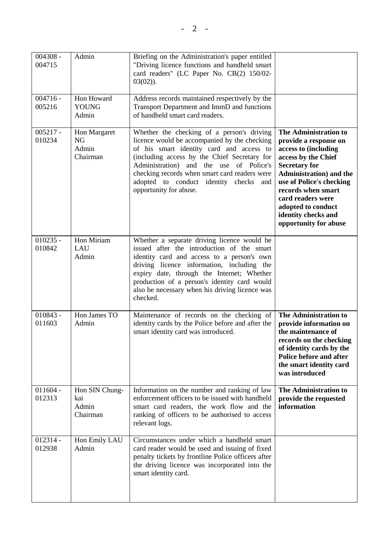| 004308 -<br>004715   | Admin                                          | Briefing on the Administration's paper entitled<br>"Driving licence functions and handheld smart<br>card readers" (LC Paper No. CB(2) 150/02-<br>$03(02)$ ).                                                                                                                                                                                              |                                                                                                                                                                                                                                                                                               |
|----------------------|------------------------------------------------|-----------------------------------------------------------------------------------------------------------------------------------------------------------------------------------------------------------------------------------------------------------------------------------------------------------------------------------------------------------|-----------------------------------------------------------------------------------------------------------------------------------------------------------------------------------------------------------------------------------------------------------------------------------------------|
| $004716 -$<br>005216 | Hon Howard<br><b>YOUNG</b><br>Admin            | Address records maintained respectively by the<br>Transport Department and ImmD and functions<br>of handheld smart card readers.                                                                                                                                                                                                                          |                                                                                                                                                                                                                                                                                               |
| $005217 -$<br>010234 | Hon Margaret<br><b>NG</b><br>Admin<br>Chairman | Whether the checking of a person's driving<br>licence would be accompanied by the checking<br>of his smart identity card and access to<br>(including access by the Chief Secretary for<br>Administration) and the use of Police's<br>checking records when smart card readers were<br>adopted to conduct identity checks<br>and<br>opportunity for abuse. | The Administration to<br>provide a response on<br>access to (including<br>access by the Chief<br><b>Secretary for</b><br>Administration) and the<br>use of Police's checking<br>records when smart<br>card readers were<br>adopted to conduct<br>identity checks and<br>opportunity for abuse |
| $010235 -$<br>010842 | Hon Miriam<br>LAU<br>Admin                     | Whether a separate driving licence would be<br>issued after the introduction of the smart<br>identity card and access to a person's own<br>driving licence information, including the<br>expiry date, through the Internet; Whether<br>production of a person's identity card would<br>also be necessary when his driving licence was<br>checked.         |                                                                                                                                                                                                                                                                                               |
| $010843 -$<br>011603 | Hon James TO<br>Admin                          | Maintenance of records on the checking of<br>identity cards by the Police before and after the<br>smart identity card was introduced.                                                                                                                                                                                                                     | The Administration to<br>provide information on<br>the maintenance of<br>records on the checking<br>of identity cards by the<br>Police before and after<br>the smart identity card<br>was introduced                                                                                          |
| $011604 -$<br>012313 | Hon SIN Chung-<br>kai<br>Admin<br>Chairman     | Information on the number and ranking of law<br>enforcement officers to be issued with handheld<br>smart card readers, the work flow and the<br>ranking of officers to be authorised to access<br>relevant logs.                                                                                                                                          | The Administration to<br>provide the requested<br>information                                                                                                                                                                                                                                 |
| $012314 -$<br>012938 | Hon Emily LAU<br>Admin                         | Circumstances under which a handheld smart<br>card reader would be used and issuing of fixed<br>penalty tickets by frontline Police officers after<br>the driving licence was incorporated into the<br>smart identity card.                                                                                                                               |                                                                                                                                                                                                                                                                                               |